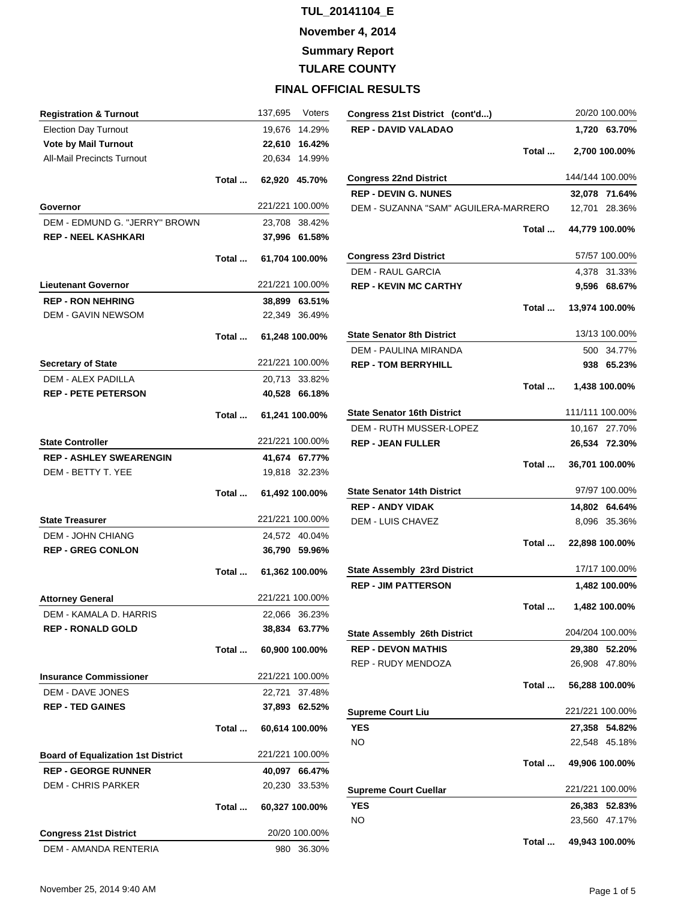**November 4, 2014**

**Summary Report**

**TULARE COUNTY**

| <b>Registration &amp; Turnout</b>         |       | 137,695               | Voters |
|-------------------------------------------|-------|-----------------------|--------|
| <b>Election Day Turnout</b>               |       | 19,676 14.29%         |        |
| <b>Vote by Mail Turnout</b>               |       | 22,610 16.42%         |        |
| All-Mail Precincts Turnout                |       | 20,634                | 14.99% |
|                                           |       | Total  62,920 45.70%  |        |
| Governor                                  |       | 221/221 100.00%       |        |
| DEM - EDMUND G. "JERRY" BROWN             |       | 23,708 38.42%         |        |
| <b>REP - NEEL KASHKARI</b>                |       | 37,996 61.58%         |        |
|                                           | Total | 61,704 100.00%        |        |
| <b>Lieutenant Governor</b>                |       | 221/221 100.00%       |        |
| <b>REP - RON NEHRING</b>                  |       | 38,899 63.51%         |        |
| <b>DEM - GAVIN NEWSOM</b>                 |       | 22,349 36.49%         |        |
|                                           |       | Total  61,248 100.00% |        |
| <b>Secretary of State</b>                 |       | 221/221 100.00%       |        |
| <b>DEM - ALEX PADILLA</b>                 |       | 20.713 33.82%         |        |
| <b>REP - PETE PETERSON</b>                |       | 40,528 66.18%         |        |
|                                           |       | Total  61,241 100.00% |        |
| <b>State Controller</b>                   |       | 221/221 100.00%       |        |
| <b>REP - ASHLEY SWEARENGIN</b>            |       | 41,674 67.77%         |        |
| DEM - BETTY T. YEE                        |       | 19,818 32.23%         |        |
|                                           |       |                       |        |
|                                           |       | Total  61,492 100.00% |        |
| <b>State Treasurer</b>                    |       | 221/221 100.00%       |        |
| <b>DEM - JOHN CHIANG</b>                  |       | 24,572 40.04%         |        |
| <b>REP - GREG CONLON</b>                  |       | 36,790 59.96%         |        |
|                                           | Total | 61,362 100.00%        |        |
| <b>Attorney General</b>                   |       | 221/221 100.00%       |        |
| DEM - KAMALA D. HARRIS                    |       | 22,066 36.23%         |        |
| <b>REP - RONALD GOLD</b>                  |       | 38,834 63.77%         |        |
|                                           |       | Total  60,900 100.00% |        |
| <b>Insurance Commissioner</b>             |       | 221/221 100.00%       |        |
| <b>DEM - DAVE JONES</b>                   |       | 22,721 37.48%         |        |
| <b>REP - TED GAINES</b>                   |       | 37,893 62.52%         |        |
|                                           | Total | 60,614 100.00%        |        |
| <b>Board of Equalization 1st District</b> |       | 221/221 100.00%       |        |
| <b>REP - GEORGE RUNNER</b>                |       | 40,097 66.47%         |        |
| <b>DEM - CHRIS PARKER</b>                 |       | 20,230 33.53%         |        |
|                                           | Total | 60,327 100.00%        |        |
| <b>Congress 21st District</b>             |       | 20/20 100.00%         |        |

| Congress 21st District (cont'd)      |       |                       | 20/20 100.00%   |
|--------------------------------------|-------|-----------------------|-----------------|
| <b>REP - DAVID VALADAO</b>           |       |                       | 1,720 63.70%    |
|                                      | Total |                       | 2,700 100.00%   |
| <b>Congress 22nd District</b>        |       |                       | 144/144 100.00% |
| <b>REP - DEVIN G. NUNES</b>          |       |                       | 32,078 71.64%   |
| DEM - SUZANNA "SAM" AGUILERA-MARRERO |       |                       | 12,701 28.36%   |
|                                      | Total |                       | 44,779 100.00%  |
| <b>Congress 23rd District</b>        |       |                       | 57/57 100.00%   |
| <b>DEM - RAUL GARCIA</b>             |       |                       | 4,378 31.33%    |
| <b>REP - KEVIN MC CARTHY</b>         |       |                       | 9,596 68.67%    |
|                                      |       | Total  13,974 100.00% |                 |
| <b>State Senator 8th District</b>    |       |                       | 13/13 100.00%   |
| <b>DEM - PAULINA MIRANDA</b>         |       |                       | 500 34.77%      |
| <b>REP - TOM BERRYHILL</b>           |       |                       | 938 65.23%      |
|                                      | Total |                       | 1,438 100.00%   |
| <b>State Senator 16th District</b>   |       |                       | 111/111 100.00% |
| DEM - RUTH MUSSER-LOPEZ              |       |                       | 10,167 27.70%   |
| <b>REP - JEAN FULLER</b>             |       |                       | 26,534 72.30%   |
|                                      | Total |                       | 36,701 100.00%  |
| State Senator 14th District          |       |                       | 97/97 100.00%   |
| <b>REP - ANDY VIDAK</b>              |       |                       | 14,802 64.64%   |
| DEM - LUIS CHAVEZ                    |       |                       | 8,096 35.36%    |
|                                      | Total |                       | 22,898 100.00%  |
| <b>State Assembly 23rd District</b>  |       |                       | 17/17 100.00%   |
| <b>REP - JIM PATTERSON</b>           |       |                       | 1,482 100.00%   |
|                                      | Total |                       | 1,482 100.00%   |
| <b>State Assembly 26th District</b>  |       |                       | 204/204 100.00% |
| <b>REP - DEVON MATHIS</b>            |       |                       | 29.380 52.20%   |
| REP - RUDY MENDOZA                   |       |                       | 26,908 47.80%   |
|                                      | Total |                       | 56,288 100.00%  |
| <b>Supreme Court Liu</b>             |       |                       | 221/221 100.00% |
| <b>YES</b>                           |       |                       | 27,358 54.82%   |
| NO                                   |       |                       | 22,548 45.18%   |
|                                      |       | Total  49,906 100.00% |                 |
| <b>Supreme Court Cuellar</b>         |       |                       | 221/221 100.00% |
| <b>YES</b>                           |       |                       | 26,383 52.83%   |
| NO.                                  |       |                       | 23,560 47.17%   |
|                                      | Total |                       | 49,943 100.00%  |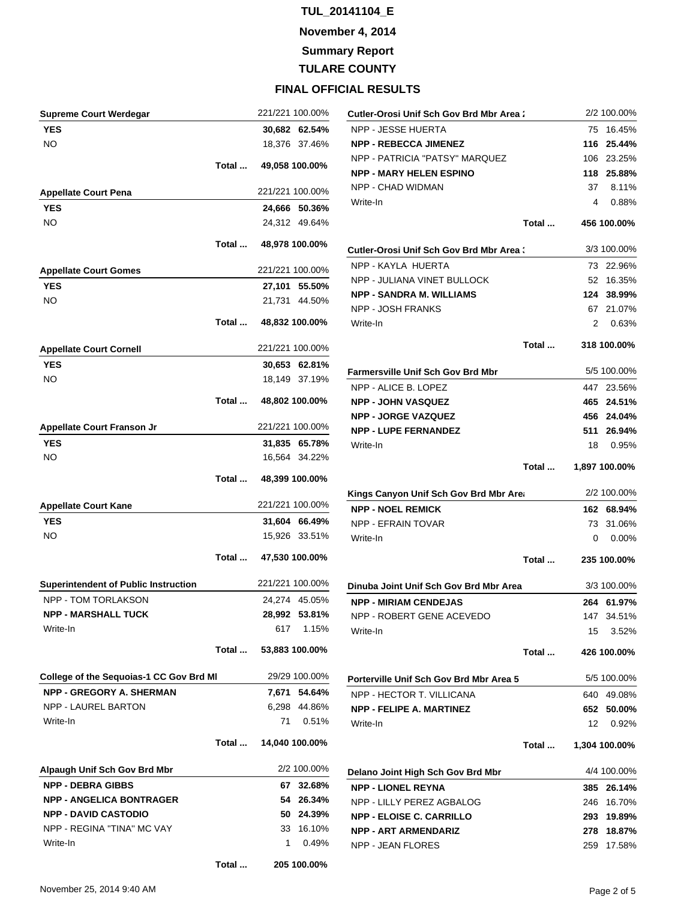**November 4, 2014**

**Summary Report**

**TULARE COUNTY**

| <b>Supreme Court Werdegar</b>                  |       |      | 221/221 100.00% | Cutler-Orosi Unif Sch Gov Brd Mbr Area:  |       | 2/2 100.00%   |
|------------------------------------------------|-------|------|-----------------|------------------------------------------|-------|---------------|
| <b>YES</b>                                     |       |      | 30,682 62.54%   | NPP - JESSE HUERTA                       |       | 75 16.45%     |
| <b>NO</b>                                      |       |      | 18,376 37.46%   | <b>NPP - REBECCA JIMENEZ</b>             | 116   | 25.44%        |
|                                                |       |      |                 | NPP - PATRICIA "PATSY" MARQUEZ           |       | 106 23.25%    |
|                                                | Total |      | 49,058 100.00%  | <b>NPP - MARY HELEN ESPINO</b>           |       | 118 25.88%    |
| <b>Appellate Court Pena</b>                    |       |      | 221/221 100.00% | NPP - CHAD WIDMAN                        | 37    | 8.11%         |
| <b>YES</b>                                     |       |      | 24,666 50.36%   | Write-In                                 | 4     | 0.88%         |
| <b>NO</b>                                      |       |      | 24,312 49.64%   |                                          | Total | 456 100.00%   |
|                                                |       |      |                 |                                          |       |               |
|                                                | Total |      | 48,978 100.00%  | Cutler-Orosi Unif Sch Gov Brd Mbr Area:  |       | 3/3 100.00%   |
| <b>Appellate Court Gomes</b>                   |       |      | 221/221 100.00% | NPP - KAYLA HUERTA                       |       | 73 22.96%     |
| <b>YES</b>                                     |       |      | 27,101 55.50%   | NPP - JULIANA VINET BULLOCK              |       | 52 16.35%     |
| <b>NO</b>                                      |       |      | 21,731 44.50%   | <b>NPP - SANDRA M. WILLIAMS</b>          | 124   | 38.99%        |
|                                                | Total |      | 48,832 100.00%  | NPP - JOSH FRANKS                        |       | 67 21.07%     |
|                                                |       |      |                 | Write-In                                 | 2     | 0.63%         |
| <b>Appellate Court Cornell</b>                 |       |      | 221/221 100.00% |                                          | Total | 318 100.00%   |
| <b>YES</b>                                     |       |      | 30,653 62.81%   | <b>Farmersville Unif Sch Gov Brd Mbr</b> |       | 5/5 100.00%   |
| NO                                             |       |      | 18,149 37.19%   | NPP - ALICE B. LOPEZ                     |       | 447 23.56%    |
|                                                | Total |      | 48,802 100.00%  | <b>NPP - JOHN VASQUEZ</b>                |       | 465 24.51%    |
|                                                |       |      |                 | <b>NPP - JORGE VAZQUEZ</b>               |       | 456 24.04%    |
| <b>Appellate Court Franson Jr</b>              |       |      | 221/221 100.00% | <b>NPP - LUPE FERNANDEZ</b>              | 511   | 26.94%        |
| <b>YES</b>                                     |       |      | 31,835 65.78%   | Write-In                                 | 18    | 0.95%         |
| <b>NO</b>                                      |       |      | 16,564 34.22%   |                                          |       |               |
|                                                |       |      |                 |                                          | Total | 1,897 100.00% |
|                                                | Total |      | 48,399 100.00%  | Kings Canyon Unif Sch Gov Brd Mbr Are:   |       | 2/2 100.00%   |
| <b>Appellate Court Kane</b>                    |       |      | 221/221 100.00% | <b>NPP - NOEL REMICK</b>                 |       | 162 68.94%    |
| <b>YES</b>                                     |       |      | 31,604 66.49%   | NPP - EFRAIN TOVAR                       |       | 73 31.06%     |
| <b>NO</b>                                      |       |      | 15,926 33.51%   | Write-In                                 | 0     | 0.00%         |
|                                                | Total |      | 47,530 100.00%  |                                          | Total | 235 100.00%   |
|                                                |       |      |                 |                                          |       |               |
| <b>Superintendent of Public Instruction</b>    |       |      | 221/221 100.00% | Dinuba Joint Unif Sch Gov Brd Mbr Area   |       | 3/3 100.00%   |
| NPP - TOM TORLAKSON                            |       |      | 24,274 45.05%   | <b>NPP - MIRIAM CENDEJAS</b>             |       | 264 61.97%    |
| <b>NPP - MARSHALL TUCK</b>                     |       |      | 28,992 53.81%   | NPP - ROBERT GENE ACEVEDO                |       | 147 34.51%    |
| Write-In                                       |       |      | 617 1.15%       | Write-In                                 | 15    | 3.52%         |
|                                                | Total |      | 53,883 100.00%  |                                          | Total | 426 100.00%   |
| <b>College of the Sequoias-1 CC Gov Brd MI</b> |       |      | 29/29 100.00%   | Porterville Unif Sch Gov Brd Mbr Area 5  |       | 5/5 100.00%   |
| <b>NPP - GREGORY A. SHERMAN</b>                |       |      | 7,671 54.64%    | NPP - HECTOR T. VILLICANA                |       | 640 49.08%    |
| NPP - LAUREL BARTON                            |       |      | 6,298 44.86%    | <b>NPP - FELIPE A. MARTINEZ</b>          |       | 652 50.00%    |
| Write-In                                       |       | 71 - | 0.51%           | Write-In                                 | 12    | 0.92%         |
|                                                | Total |      | 14,040 100.00%  |                                          | Total | 1,304 100.00% |
| Alpaugh Unif Sch Gov Brd Mbr                   |       |      | 2/2 100.00%     | Delano Joint High Sch Gov Brd Mbr        |       | 4/4 100.00%   |
| <b>NPP - DEBRA GIBBS</b>                       |       |      | 67 32.68%       | <b>NPP - LIONEL REYNA</b>                |       | 385 26.14%    |
| <b>NPP - ANGELICA BONTRAGER</b>                |       |      | 54 26.34%       | NPP - LILLY PEREZ AGBALOG                |       | 246 16.70%    |
| <b>NPP - DAVID CASTODIO</b>                    |       |      | 50 24.39%       | <b>NPP - ELOISE C. CARRILLO</b>          |       | 293 19.89%    |
| NPP - REGINA "TINA" MC VAY                     |       |      | 33 16.10%       | <b>NPP - ART ARMENDARIZ</b>              |       | 278 18.87%    |
| Write-In                                       |       | 1    | 0.49%           | NPP - JEAN FLORES                        |       | 259 17.58%    |
|                                                | Total |      | 205 100.00%     |                                          |       |               |
|                                                |       |      |                 |                                          |       |               |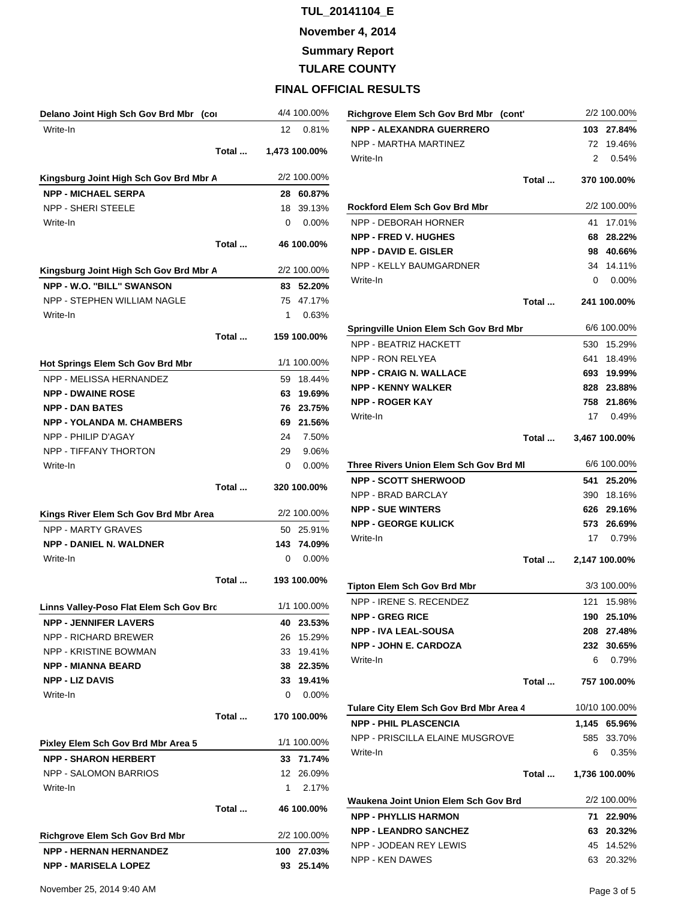**November 4, 2014**

**Summary Report**

**TULARE COUNTY**

| Delano Joint High Sch Gov Brd Mbr (cor  |       |     | 4/4 100.00%   |
|-----------------------------------------|-------|-----|---------------|
| Write-In                                |       | 12  | 0.81%         |
|                                         | Total |     | 1,473 100.00% |
| Kingsburg Joint High Sch Gov Brd Mbr A  |       |     | 2/2 100.00%   |
| <b>NPP - MICHAEL SERPA</b>              |       | 28  | 60.87%        |
| <b>NPP - SHERI STEELE</b>               |       | 18  | 39.13%        |
| Write-In                                |       | 0   | 0.00%         |
|                                         | Total |     | 46 100.00%    |
| Kingsburg Joint High Sch Gov Brd Mbr A  |       |     | 2/2 100.00%   |
| NPP - W.O. "BILL" SWANSON               |       |     | 83 52.20%     |
| NPP - STEPHEN WILLIAM NAGLE             |       |     | 75 47.17%     |
| Write-In                                |       | 1   | 0.63%         |
|                                         | Total |     | 159 100.00%   |
| Hot Springs Elem Sch Gov Brd Mbr        |       |     | 1/1 100.00%   |
| NPP - MELISSA HERNANDEZ                 |       | 59  | 18.44%        |
| <b>NPP - DWAINE ROSE</b>                |       | 63  | 19.69%        |
| <b>NPP - DAN BATES</b>                  |       | 76  | 23.75%        |
| <b>NPP - YOLANDA M. CHAMBERS</b>        |       | 69  | 21.56%        |
| NPP - PHILIP D'AGAY                     |       | 24  | 7.50%         |
| NPP - TIFFANY THORTON                   |       | 29  | 9.06%         |
| Write-In                                |       | 0   | 0.00%         |
|                                         | Total |     | 320 100.00%   |
|                                         |       |     | 2/2 100.00%   |
| Kings River Elem Sch Gov Brd Mbr Area   |       |     |               |
| <b>NPP - MARTY GRAVES</b>               |       | 50  | 25.91%        |
| <b>NPP - DANIEL N. WALDNER</b>          |       | 143 | 74.09%        |
| Write-In                                |       | 0   | 0.00%         |
|                                         | Total |     | 193 100.00%   |
| Linns Valley-Poso Flat Elem Sch Gov Brd |       |     | 1/1 100.00%   |
| <b>NPP - JENNIFER LAVERS</b>            |       | 40  | 23.53%        |
| <b>NPP - RICHARD BREWER</b>             |       | 26  | 15.29%        |
| <b>NPP - KRISTINE BOWMAN</b>            |       | 33  | 19.41%        |
| <b>NPP - MIANNA BEARD</b>               |       | 38  | 22.35%        |
| <b>NPP - LIZ DAVIS</b>                  |       | 33  | 19.41%        |
| Write-In                                |       | 0   | 0.00%         |
|                                         | Total |     | 170 100.00%   |
| Pixley Elem Sch Gov Brd Mbr Area 5      |       |     | 1/1 100.00%   |
| <b>NPP - SHARON HERBERT</b>             |       | 33  | 71.74%        |
| <b>NPP - SALOMON BARRIOS</b>            |       | 12  | 26.09%        |
| Write-In                                |       | 1   | 2.17%         |
|                                         | Total |     | 46 100.00%    |
| Richgrove Elem Sch Gov Brd Mbr          |       |     | 2/2 100.00%   |
| <b>NPP - HERNAN HERNANDEZ</b>           |       | 100 | 27.03%        |
| <b>NPP - MARISELA LOPEZ</b>             |       | 93  | 25.14%        |

| Richgrove Elem Sch Gov Brd Mbr (cont'                               |       |              | 2/2 100.00%   |
|---------------------------------------------------------------------|-------|--------------|---------------|
| <b>NPP - ALEXANDRA GUERRERO</b>                                     |       |              | 103 27.84%    |
| NPP - MARTHA MARTINEZ                                               |       |              | 72 19.46%     |
| Write-In                                                            |       |              | 2 0.54%       |
|                                                                     | Total |              | 370 100.00%   |
|                                                                     |       |              |               |
| Rockford Elem Sch Gov Brd Mbr                                       |       |              | 2/2 100.00%   |
| NPP - DEBORAH HORNER                                                |       | 41           | 17.01%        |
| <b>NPP - FRED V. HUGHES</b>                                         |       | 68           | 28.22%        |
| <b>NPP - DAVID E. GISLER</b>                                        |       |              | 98 40.66%     |
| NPP - KELLY BAUMGARDNER                                             |       |              | 34 14.11%     |
| Write-In                                                            |       | $\mathbf{0}$ | $0.00\%$      |
|                                                                     | Total |              | 241 100.00%   |
|                                                                     |       |              |               |
| Springville Union Elem Sch Gov Brd Mbr                              |       |              | 6/6 100.00%   |
| NPP - BEATRIZ HACKETT                                               |       | 530          | 15.29%        |
| NPP - RON RELYEA                                                    |       |              | 641 18.49%    |
| <b>NPP - CRAIG N. WALLACE</b>                                       |       |              | 693 19.99%    |
| <b>NPP - KENNY WALKER</b>                                           |       |              | 828 23.88%    |
| <b>NPP - ROGER KAY</b>                                              |       |              | 758 21.86%    |
| Write-In                                                            |       |              | 17 0.49%      |
|                                                                     | Total |              | 3,467 100.00% |
|                                                                     |       |              |               |
| Three Rivers Union Elem Sch Gov Brd Ml                              |       |              | 6/6 100.00%   |
| <b>NPP - SCOTT SHERWOOD</b>                                         |       | 541          | 25.20%        |
| NPP - BRAD BARCLAY                                                  |       |              | 390 18.16%    |
| <b>NPP - SUE WINTERS</b>                                            |       |              | 626 29.16%    |
| <b>NPP - GEORGE KULICK</b>                                          |       |              | 573 26.69%    |
| Write-In                                                            |       | 17           | 0.79%         |
|                                                                     | Total |              | 2,147 100.00% |
|                                                                     |       |              |               |
| Tipton Elem Sch Gov Brd Mbr                                         |       |              | 3/3 100.00%   |
| NPP - IRENE S. RECENDEZ                                             |       | 121          | 15.98%        |
| <b>NPP - GREG RICE</b>                                              |       |              | 190 25.10%    |
| <b>NPP - IVA LEAL-SOUSA</b>                                         |       |              | 208 27.48%    |
| <b>NPP - JOHN E. CARDOZA</b>                                        |       |              | 232 30.65%    |
| Write-In                                                            |       | 6.           | 0.79%         |
|                                                                     | Total |              | 757 100.00%   |
| Tulare City Elem Sch Gov Brd Mbr Area 4                             |       |              | 10/10 100.00% |
| <b>NPP - PHIL PLASCENCIA</b>                                        |       |              | 1,145 65.96%  |
| NPP - PRISCILLA ELAINE MUSGROVE                                     |       |              | 585 33.70%    |
| Write-In                                                            |       | 6            | 0.35%         |
|                                                                     | Total |              | 1,736 100.00% |
|                                                                     |       |              | 2/2 100.00%   |
| Waukena Joint Union Elem Sch Gov Brd<br><b>NPP - PHYLLIS HARMON</b> |       | 71           |               |
|                                                                     |       |              | 22.90%        |
| <b>NPP - LEANDRO SANCHEZ</b>                                        |       |              | 63 20.32%     |
| NPP - JODEAN REY LEWIS                                              |       |              | 45 14.52%     |
| <b>NPP - KEN DAWES</b>                                              |       |              | 63 20.32%     |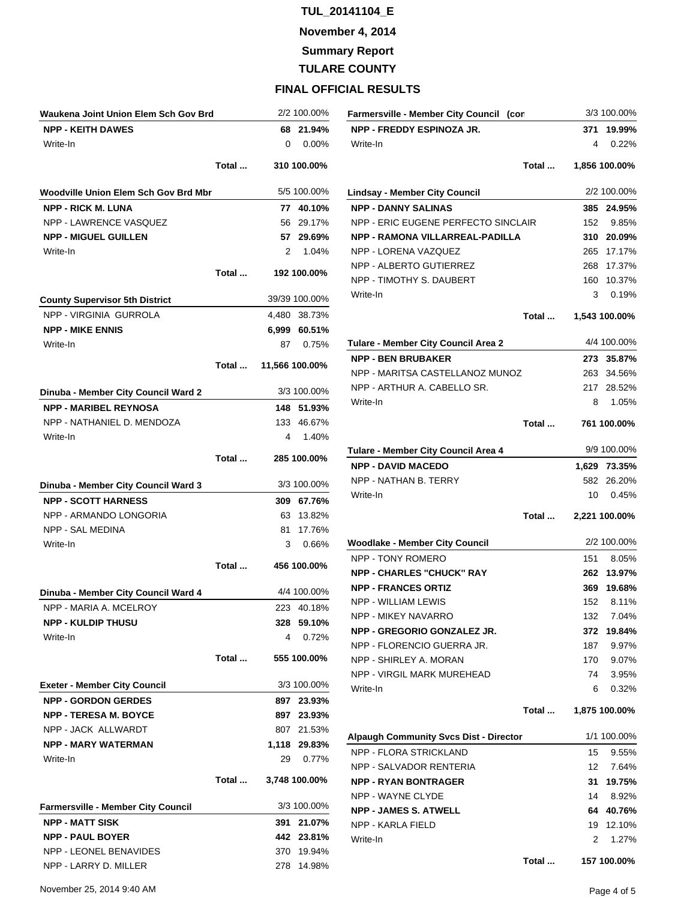**November 4, 2014**

**Summary Report**

# **TULARE COUNTY**

## **FINAL OFFICIAL RESULTS**

| Waukena Joint Union Elem Sch Gov Brd      |       |     | 2/2 100.00%    |
|-------------------------------------------|-------|-----|----------------|
| <b>NPP - KEITH DAWES</b>                  |       |     | 68 21.94%      |
| Write-In                                  |       | 0   | $0.00\%$       |
|                                           | Total |     | 310 100.00%    |
| Woodville Union Elem Sch Gov Brd Mbr      |       |     | 5/5 100.00%    |
| <b>NPP - RICK M. LUNA</b>                 |       |     | 77 40.10%      |
| <b>NPP - LAWRENCE VASQUEZ</b>             |       |     | 56 29.17%      |
| <b>NPP - MIGUEL GUILLEN</b>               |       |     | 57 29.69%      |
| Write-In                                  |       | 2   | 1.04%          |
|                                           | Total |     | 192 100.00%    |
| <b>County Supervisor 5th District</b>     |       |     | 39/39 100.00%  |
| <b>NPP - VIRGINIA GURROLA</b>             |       |     | 4,480 38.73%   |
| <b>NPP - MIKE ENNIS</b>                   |       |     | 6,999 60.51%   |
| Write-In                                  |       |     | 87 0.75%       |
|                                           | Total |     | 11,566 100.00% |
| Dinuba - Member City Council Ward 2       |       |     | 3/3 100.00%    |
| <b>NPP - MARIBEL REYNOSA</b>              |       |     | 148 51.93%     |
| NPP - NATHANIEL D. MENDOZA                |       |     | 133 46.67%     |
| Write-In                                  |       | 4   | 1.40%          |
|                                           | Total |     | 285 100.00%    |
| Dinuba - Member City Council Ward 3       |       |     | 3/3 100.00%    |
| <b>NPP - SCOTT HARNESS</b>                |       |     | 309 67.76%     |
| NPP - ARMANDO LONGORIA                    |       |     | 63 13.82%      |
| NPP - SAL MEDINA                          |       |     | 81 17.76%      |
| Write-In                                  |       | 3   | 0.66%          |
|                                           | Total |     | 456 100.00%    |
| Dinuba - Member City Council Ward 4       |       |     | 4/4 100.00%    |
| NPP - MARIA A. MCELROY                    |       |     | 223 40.18%     |
| NPP - KULDIP THUSU                        |       | 328 | 59.10%         |
| Write-In                                  |       | 4   | 0.72%          |
|                                           | Total |     | 555 100.00%    |
| <b>Exeter - Member City Council</b>       |       |     | 3/3 100.00%    |
| <b>NPP - GORDON GERDES</b>                |       |     | 897 23.93%     |
| <b>NPP - TERESA M. BOYCE</b>              |       |     | 897 23.93%     |
| NPP - JACK ALLWARDT                       |       |     | 807 21.53%     |
| <b>NPP - MARY WATERMAN</b>                |       |     | 1,118 29.83%   |
| Write-In                                  |       | 29  | 0.77%          |
|                                           | Total |     | 3,748 100.00%  |
| <b>Farmersville - Member City Council</b> |       |     | 3/3 100.00%    |
| <b>NPP - MATT SISK</b>                    |       | 391 | 21.07%         |
| <b>NPP - PAUL BOYER</b>                   |       |     | 442 23.81%     |
| <b>NPP - LEONEL BENAVIDES</b>             |       |     | 370 19.94%     |
| NPP - LARRY D. MILLER                     |       |     | 278 14.98%     |

| Farmersville - Member City Council (con |       |       | 3/3 100.00%   |
|-----------------------------------------|-------|-------|---------------|
| NPP - FREDDY ESPINOZA JR.               |       |       | 371 19.99%    |
| Write-In                                |       | 4     | 0.22%         |
|                                         | Total |       | 1,856 100.00% |
| Lindsay - Member City Council           |       |       | 2/2 100.00%   |
| <b>NPP - DANNY SALINAS</b>              |       | 385   | 24.95%        |
| NPP - ERIC EUGENE PERFECTO SINCLAIR     |       |       | 152 9.85%     |
| <b>NPP - RAMONA VILLARREAL-PADILLA</b>  |       | 310   | 20.09%        |
| NPP - LORENA VAZQUEZ                    |       | 265   | 17.17%        |
| NPP - ALBERTO GUTIERREZ                 |       | 268   | 17.37%        |
| NPP - TIMOTHY S. DAUBERT                |       | 160   | 10.37%        |
| Write-In                                |       |       | 3 0.19%       |
|                                         | Total |       | 1,543 100.00% |
| Tulare - Member City Council Area 2     |       |       | 4/4 100.00%   |
| <b>NPP - BEN BRUBAKER</b>               |       |       | 273 35.87%    |
| NPP - MARITSA CASTELLANOZ MUNOZ         |       |       | 263 34.56%    |
| NPP - ARTHUR A. CABELLO SR.             |       |       | 217 28.52%    |
| Write-In                                |       | 8     | 1.05%         |
|                                         |       |       |               |
|                                         | Total |       | 761 100.00%   |
| Tulare - Member City Council Area 4     |       |       | 9/9 100.00%   |
| <b>NPP - DAVID MACEDO</b>               |       |       | 1,629 73.35%  |
| NPP - NATHAN B. TERRY                   |       |       | 582 26.20%    |
| Write-In                                |       |       | 10 0.45%      |
|                                         | Total |       | 2,221 100.00% |
| <b>Woodlake - Member City Council</b>   |       |       | 2/2 100.00%   |
| NPP - TONY ROMERO                       |       | 151   | 8.05%         |
| <b>NPP - CHARLES "CHUCK" RAY</b>        |       |       | 262 13.97%    |
| <b>NPP - FRANCES ORTIZ</b>              |       | 369   | 19.68%        |
| NPP - WILLIAM LEWIS                     |       |       | 152 8.11%     |
| NPP - MIKEY NAVARRO                     |       | 132   | 7.04%         |
| NPP - GREGORIO GONZALEZ JR.             |       | 372   | 19.84%        |
| NPP - FLORENCIO GUERRA JR.              |       | 187   | 9.97%         |
| NPP - SHIRLEY A. MORAN                  |       | 170 - | 9.07%         |
| NPP - VIRGIL MARK MUREHEAD              |       | 74 -  | 3.95%         |
| Write-In                                |       | 6     | 0.32%         |
|                                         | Total |       | 1,875 100.00% |
| Alpaugh Community Svcs Dist - Director  |       |       | 1/1 100.00%   |
| <b>NPP - FLORA STRICKLAND</b>           |       | 15    | 9.55%         |
| NPP - SALVADOR RENTERIA                 |       | 12    | 7.64%         |
| <b>NPP - RYAN BONTRAGER</b>             |       | 31    | 19.75%        |
| NPP - WAYNE CLYDE                       |       | 14    | 8.92%         |
| <b>NPP - JAMES S. ATWELL</b>            |       | 64    | 40.76%        |
| NPP - KARLA FIELD                       |       | 19    | 12.10%        |
| Write-In                                |       | 2     | 1.27%         |

**Total ... 157 100.00%**